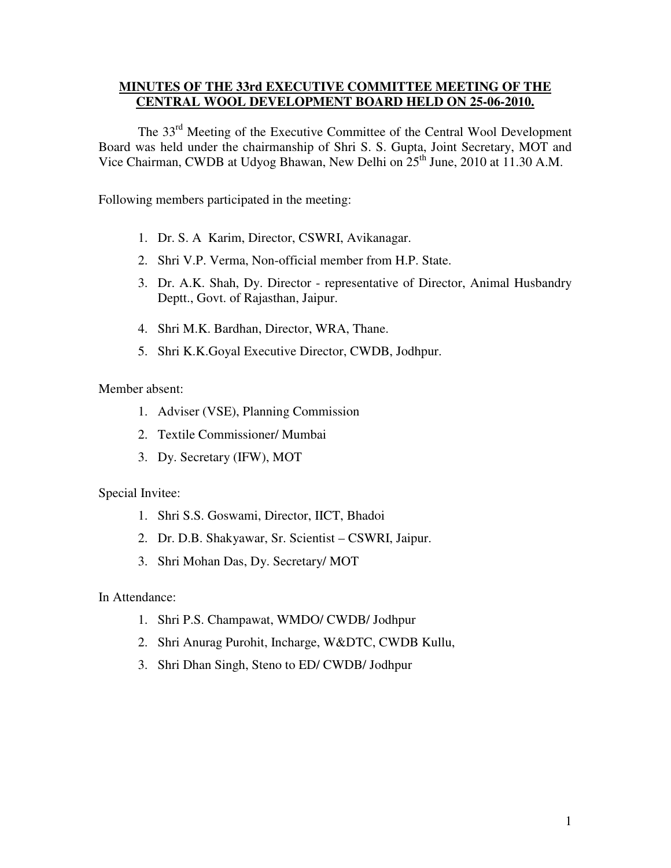#### **MINUTES OF THE 33rd EXECUTIVE COMMITTEE MEETING OF THE CENTRAL WOOL DEVELOPMENT BOARD HELD ON 25-06-2010.**

 The 33rd Meeting of the Executive Committee of the Central Wool Development Board was held under the chairmanship of Shri S. S. Gupta, Joint Secretary, MOT and Vice Chairman, CWDB at Udyog Bhawan, New Delhi on 25<sup>th</sup> June, 2010 at 11.30 A.M.

Following members participated in the meeting:

- 1. Dr. S. A Karim, Director, CSWRI, Avikanagar.
- 2. Shri V.P. Verma, Non-official member from H.P. State.
- 3. Dr. A.K. Shah, Dy. Director representative of Director, Animal Husbandry Deptt., Govt. of Rajasthan, Jaipur.
- 4. Shri M.K. Bardhan, Director, WRA, Thane.
- 5. Shri K.K.Goyal Executive Director, CWDB, Jodhpur.

Member absent:

- 1. Adviser (VSE), Planning Commission
- 2. Textile Commissioner/ Mumbai
- 3. Dy. Secretary (IFW), MOT

Special Invitee:

- 1. Shri S.S. Goswami, Director, IICT, Bhadoi
- 2. Dr. D.B. Shakyawar, Sr. Scientist CSWRI, Jaipur.
- 3. Shri Mohan Das, Dy. Secretary/ MOT

In Attendance:

- 1. Shri P.S. Champawat, WMDO/ CWDB/ Jodhpur
- 2. Shri Anurag Purohit, Incharge, W&DTC, CWDB Kullu,
- 3. Shri Dhan Singh, Steno to ED/ CWDB/ Jodhpur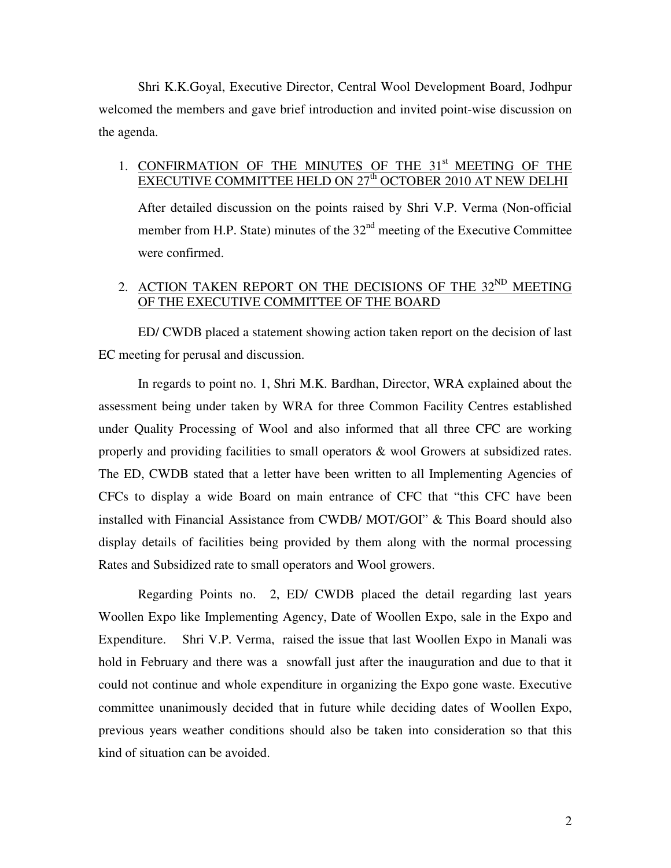Shri K.K.Goyal, Executive Director, Central Wool Development Board, Jodhpur welcomed the members and gave brief introduction and invited point-wise discussion on the agenda.

## 1. CONFIRMATION OF THE MINUTES OF THE 31<sup>st</sup> MEETING OF THE EXECUTIVE COMMITTEE HELD ON 27<sup>th</sup> OCTOBER 2010 AT NEW DELHI

After detailed discussion on the points raised by Shri V.P. Verma (Non-official member from H.P. State) minutes of the  $32<sup>nd</sup>$  meeting of the Executive Committee were confirmed.

## 2. ACTION TAKEN REPORT ON THE DECISIONS OF THE  $32<sup>ND</sup>$  MEETING OF THE EXECUTIVE COMMITTEE OF THE BOARD

 ED/ CWDB placed a statement showing action taken report on the decision of last EC meeting for perusal and discussion.

 In regards to point no. 1, Shri M.K. Bardhan, Director, WRA explained about the assessment being under taken by WRA for three Common Facility Centres established under Quality Processing of Wool and also informed that all three CFC are working properly and providing facilities to small operators & wool Growers at subsidized rates. The ED, CWDB stated that a letter have been written to all Implementing Agencies of CFCs to display a wide Board on main entrance of CFC that "this CFC have been installed with Financial Assistance from CWDB/ MOT/GOI" & This Board should also display details of facilities being provided by them along with the normal processing Rates and Subsidized rate to small operators and Wool growers.

 Regarding Points no. 2, ED/ CWDB placed the detail regarding last years Woollen Expo like Implementing Agency, Date of Woollen Expo, sale in the Expo and Expenditure. Shri V.P. Verma, raised the issue that last Woollen Expo in Manali was hold in February and there was a snowfall just after the inauguration and due to that it could not continue and whole expenditure in organizing the Expo gone waste. Executive committee unanimously decided that in future while deciding dates of Woollen Expo, previous years weather conditions should also be taken into consideration so that this kind of situation can be avoided.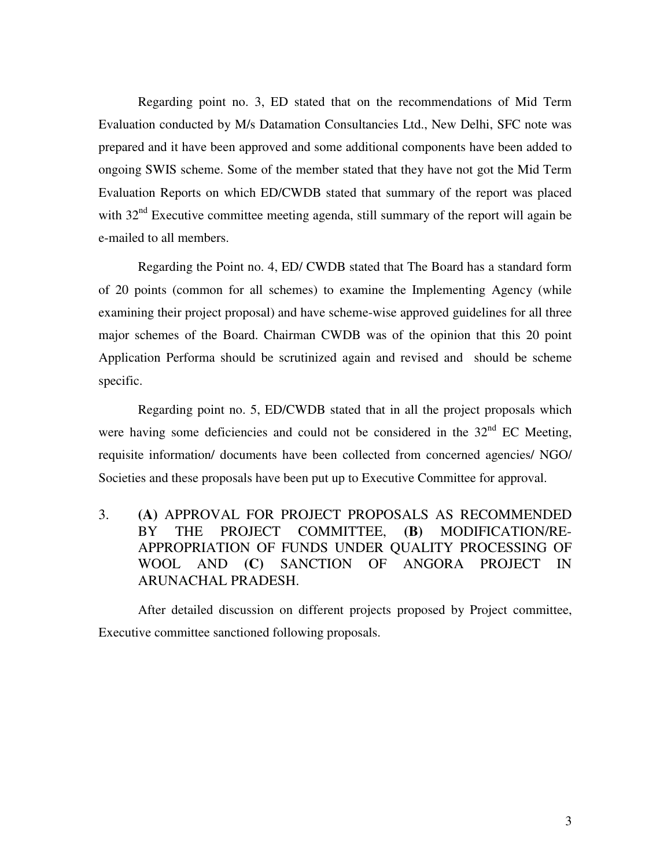Regarding point no. 3, ED stated that on the recommendations of Mid Term Evaluation conducted by M/s Datamation Consultancies Ltd., New Delhi, SFC note was prepared and it have been approved and some additional components have been added to ongoing SWIS scheme. Some of the member stated that they have not got the Mid Term Evaluation Reports on which ED/CWDB stated that summary of the report was placed with  $32<sup>nd</sup>$  Executive committee meeting agenda, still summary of the report will again be e-mailed to all members.

Regarding the Point no. 4, ED/ CWDB stated that The Board has a standard form of 20 points (common for all schemes) to examine the Implementing Agency (while examining their project proposal) and have scheme-wise approved guidelines for all three major schemes of the Board. Chairman CWDB was of the opinion that this 20 point Application Performa should be scrutinized again and revised and should be scheme specific.

 Regarding point no. 5, ED/CWDB stated that in all the project proposals which were having some deficiencies and could not be considered in the  $32<sup>nd</sup>$  EC Meeting, requisite information/ documents have been collected from concerned agencies/ NGO/ Societies and these proposals have been put up to Executive Committee for approval.

3. **(A)** APPROVAL FOR PROJECT PROPOSALS AS RECOMMENDED BY THE PROJECT COMMITTEE, **(B)** MODIFICATION/RE-APPROPRIATION OF FUNDS UNDER QUALITY PROCESSING OF WOOL AND **(C)** SANCTION OF ANGORA PROJECT IN ARUNACHAL PRADESH.

After detailed discussion on different projects proposed by Project committee, Executive committee sanctioned following proposals.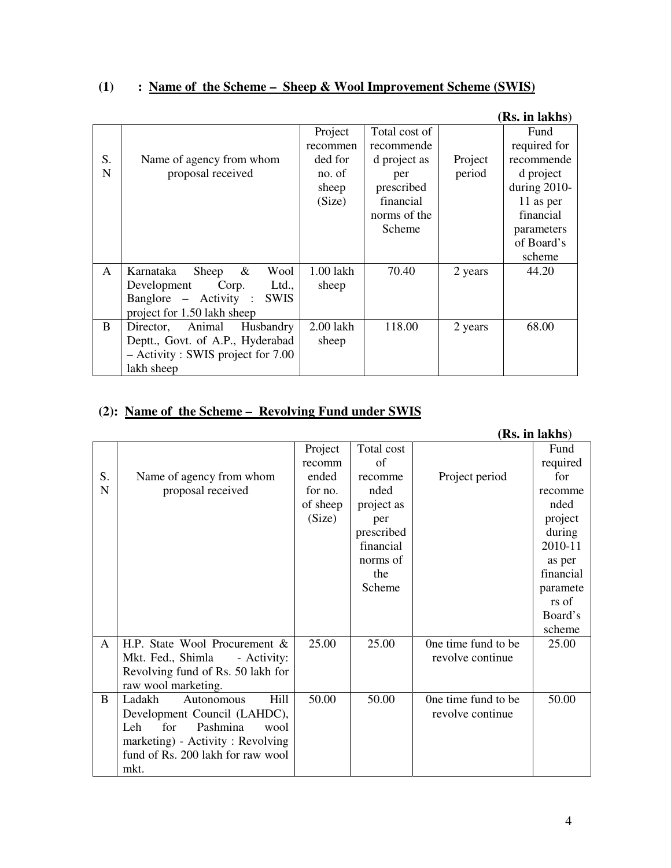# **(1) : Name of the Scheme – Sheep & Wool Improvement Scheme (SWIS)**

|              |                                      |           |               |         | (IV), III ІАЛІІЭ) |
|--------------|--------------------------------------|-----------|---------------|---------|-------------------|
|              |                                      | Project   | Total cost of |         | Fund              |
|              |                                      | recommen  | recommende    |         | required for      |
| S.           | Name of agency from whom             | ded for   | d project as  | Project | recommende        |
| $\mathbf N$  | proposal received                    | no. of    | per           | period  | d project         |
|              |                                      | sheep     | prescribed    |         | during $2010$ -   |
|              |                                      | (Size)    | financial     |         | 11 as per         |
|              |                                      |           | norms of the  |         | financial         |
|              |                                      |           | Scheme        |         | parameters        |
|              |                                      |           |               |         | of Board's        |
|              |                                      |           |               |         | scheme            |
| $\mathsf{A}$ | Karnataka<br>$\&$<br>Wool<br>Sheep   | 1.00 lakh | 70.40         | 2 years | 44.20             |
|              | Development<br>Corp.<br>Ltd.,        | sheep     |               |         |                   |
|              | Banglore – Activity :<br><b>SWIS</b> |           |               |         |                   |
|              | project for 1.50 lakh sheep          |           |               |         |                   |
| <sub>B</sub> | Animal<br>Husbandry<br>Director,     | 2.00 lakh | 118.00        | 2 years | 68.00             |
|              | Deptt., Govt. of A.P., Hyderabad     | sheep     |               |         |                   |
|              | $-$ Activity : SWIS project for 7.00 |           |               |         |                   |
|              | lakh sheep                           |           |               |         |                   |

## **(2): Name of the Scheme – Revolving Fund under SWIS**

|    |                                   |          |            |                     | (Rs. in lakhs) |
|----|-----------------------------------|----------|------------|---------------------|----------------|
|    |                                   | Project  | Total cost |                     | Fund           |
|    |                                   | recomm   | of         |                     | required       |
| S. | Name of agency from whom          | ended    | recomme    | Project period      | for            |
| N  | proposal received                 | for no.  | nded       |                     | recomme        |
|    |                                   | of sheep | project as |                     | nded           |
|    |                                   | (Size)   | per        |                     | project        |
|    |                                   |          | prescribed |                     | during         |
|    |                                   |          | financial  |                     | 2010-11        |
|    |                                   |          | norms of   |                     | as per         |
|    |                                   |          | the        |                     | financial      |
|    |                                   |          | Scheme     |                     | paramete       |
|    |                                   |          |            |                     | rs of          |
|    |                                   |          |            |                     | Board's        |
|    |                                   |          |            |                     | scheme         |
| A  | H.P. State Wool Procurement &     | 25.00    | 25.00      | One time fund to be | 25.00          |
|    | Mkt. Fed., Shimla<br>- Activity:  |          |            | revolve continue    |                |
|    | Revolving fund of Rs. 50 lakh for |          |            |                     |                |
|    | raw wool marketing.               |          |            |                     |                |
| B  | Hill<br>Ladakh<br>Autonomous      | 50.00    | 50.00      | One time fund to be | 50.00          |
|    | Development Council (LAHDC),      |          |            | revolve continue    |                |
|    | for<br>Pashmina<br>Leh<br>wool    |          |            |                     |                |
|    | marketing) - Activity : Revolving |          |            |                     |                |
|    | fund of Rs. 200 lakh for raw wool |          |            |                     |                |
|    | mkt.                              |          |            |                     |                |

### **(Rs. in lakhs**)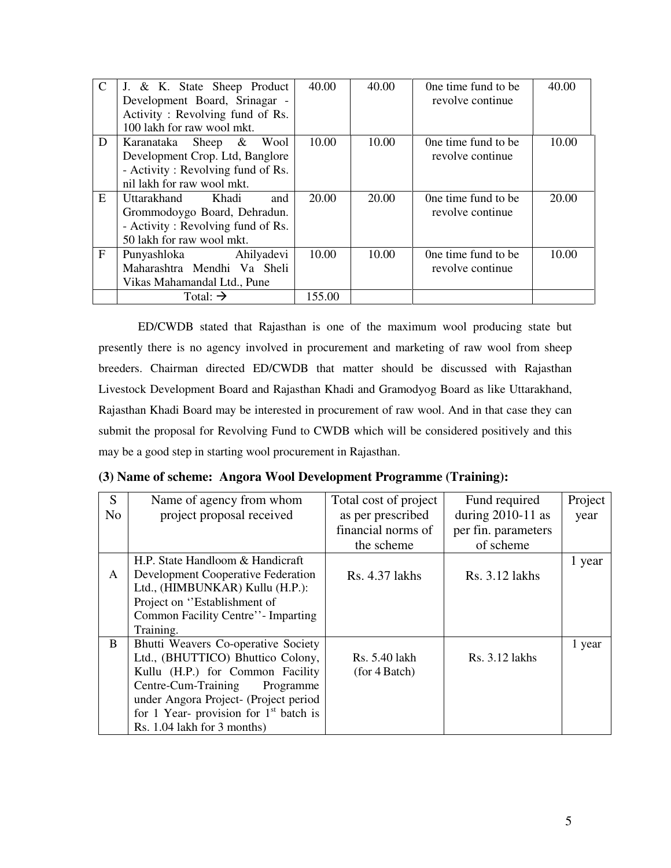| $\mathcal{C}$ | J. & K. State Sheep Product       | 40.00  | 40.00 | One time fund to be | 40.00 |
|---------------|-----------------------------------|--------|-------|---------------------|-------|
|               | Development Board, Srinagar -     |        |       | revolve continue    |       |
|               | Activity: Revolving fund of Rs.   |        |       |                     |       |
|               | 100 lakh for raw wool mkt.        |        |       |                     |       |
| D             | Wool<br>Karanataka Sheep &        | 10.00  | 10.00 | One time fund to be | 10.00 |
|               | Development Crop. Ltd, Banglore   |        |       | revolve continue    |       |
|               | - Activity: Revolving fund of Rs. |        |       |                     |       |
|               | nil lakh for raw wool mkt.        |        |       |                     |       |
| E             | Uttarakhand<br>and<br>Khadi       | 20.00  | 20.00 | One time fund to be | 20.00 |
|               | Grommodoygo Board, Dehradun.      |        |       | revolve continue    |       |
|               | - Activity: Revolving fund of Rs. |        |       |                     |       |
|               | 50 lakh for raw wool mkt.         |        |       |                     |       |
| F             | Ahilyadevi<br>Punyashloka         | 10.00  | 10.00 | One time fund to be | 10.00 |
|               | Maharashtra Mendhi Va Sheli       |        |       | revolve continue    |       |
|               | Vikas Mahamandal Ltd., Pune       |        |       |                     |       |
|               | Total: $\rightarrow$              | 155.00 |       |                     |       |

ED/CWDB stated that Rajasthan is one of the maximum wool producing state but presently there is no agency involved in procurement and marketing of raw wool from sheep breeders. Chairman directed ED/CWDB that matter should be discussed with Rajasthan Livestock Development Board and Rajasthan Khadi and Gramodyog Board as like Uttarakhand, Rajasthan Khadi Board may be interested in procurement of raw wool. And in that case they can submit the proposal for Revolving Fund to CWDB which will be considered positively and this may be a good step in starting wool procurement in Rajasthan.

| <sub>S</sub>   | Name of agency from whom                 | Total cost of project | Fund required       | Project |
|----------------|------------------------------------------|-----------------------|---------------------|---------|
| N <sub>o</sub> | project proposal received                | as per prescribed     | during $2010-11$ as | year    |
|                |                                          | financial norms of    | per fin. parameters |         |
|                |                                          | the scheme            | of scheme           |         |
|                | H.P. State Handloom & Handicraft         |                       |                     | 1 year  |
| A              | Development Cooperative Federation       | Rs. 4.37 lakhs        | Rs. 3.12 lakhs      |         |
|                | Ltd., (HIMBUNKAR) Kullu (H.P.):          |                       |                     |         |
|                | Project on "Establishment of             |                       |                     |         |
|                | Common Facility Centre'' - Imparting     |                       |                     |         |
|                | Training.                                |                       |                     |         |
| B              | Bhutti Weavers Co-operative Society      |                       |                     | 1 year  |
|                | Ltd., (BHUTTICO) Bhuttico Colony,        | Rs. 5.40 lakh         | Rs. 3.12 lakhs      |         |
|                | Kullu (H.P.) for Common Facility         | (for 4 Batch)         |                     |         |
|                | Centre-Cum-Training<br>Programme         |                       |                     |         |
|                | under Angora Project- (Project period    |                       |                     |         |
|                | for 1 Year- provision for $1st$ batch is |                       |                     |         |
|                | Rs. 1.04 lakh for 3 months)              |                       |                     |         |

**(3) Name of scheme: Angora Wool Development Programme (Training):**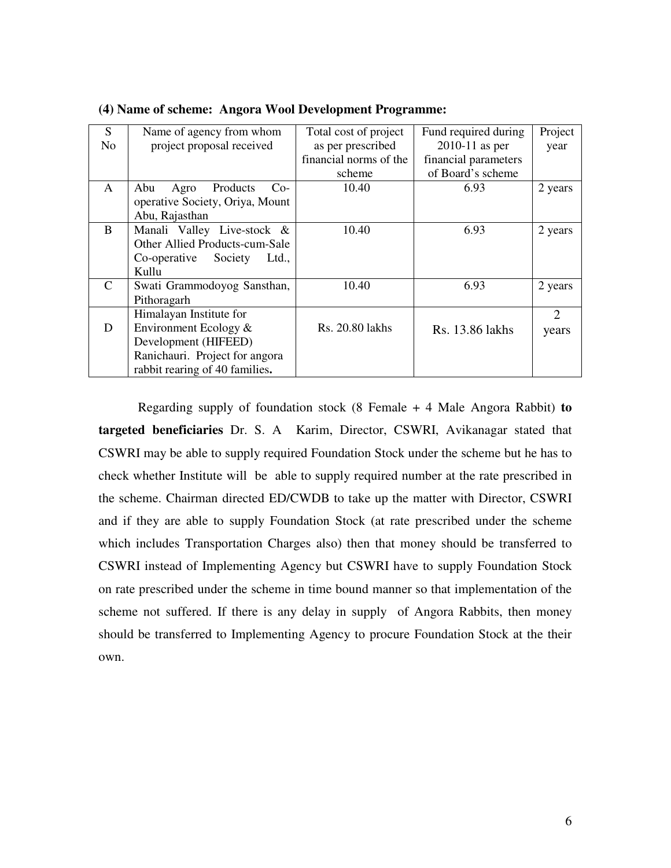| S              | Name of agency from whom         | Total cost of project  | Fund required during | Project        |
|----------------|----------------------------------|------------------------|----------------------|----------------|
| N <sub>o</sub> | project proposal received        | as per prescribed      | $2010-11$ as per     | year           |
|                |                                  | financial norms of the | financial parameters |                |
|                |                                  | scheme                 | of Board's scheme    |                |
| A              | Abu<br>Products<br>Agro<br>$Co-$ | 10.40                  | 6.93                 | 2 years        |
|                | operative Society, Oriya, Mount  |                        |                      |                |
|                | Abu, Rajasthan                   |                        |                      |                |
| B              | Manali Valley Live-stock &       | 10.40                  | 6.93                 | 2 years        |
|                | Other Allied Products-cum-Sale   |                        |                      |                |
|                | Co-operative<br>Society<br>Ltd., |                        |                      |                |
|                | Kullu                            |                        |                      |                |
| C              | Swati Grammodoyog Sansthan,      | 10.40                  | 6.93                 | 2 years        |
|                | Pithoragarh                      |                        |                      |                |
|                | Himalayan Institute for          |                        |                      | $\overline{2}$ |
| D              | Environment Ecology &            | Rs. 20.80 lakhs        | Rs. 13.86 lakhs      | years          |
|                | Development (HIFEED)             |                        |                      |                |
|                | Ranichauri. Project for angora   |                        |                      |                |
|                | rabbit rearing of 40 families.   |                        |                      |                |

**(4) Name of scheme: Angora Wool Development Programme:** 

Regarding supply of foundation stock (8 Female + 4 Male Angora Rabbit) **to targeted beneficiaries** Dr. S. A Karim, Director, CSWRI, Avikanagar stated that CSWRI may be able to supply required Foundation Stock under the scheme but he has to check whether Institute will be able to supply required number at the rate prescribed in the scheme. Chairman directed ED/CWDB to take up the matter with Director, CSWRI and if they are able to supply Foundation Stock (at rate prescribed under the scheme which includes Transportation Charges also) then that money should be transferred to CSWRI instead of Implementing Agency but CSWRI have to supply Foundation Stock on rate prescribed under the scheme in time bound manner so that implementation of the scheme not suffered. If there is any delay in supply of Angora Rabbits, then money should be transferred to Implementing Agency to procure Foundation Stock at the their own.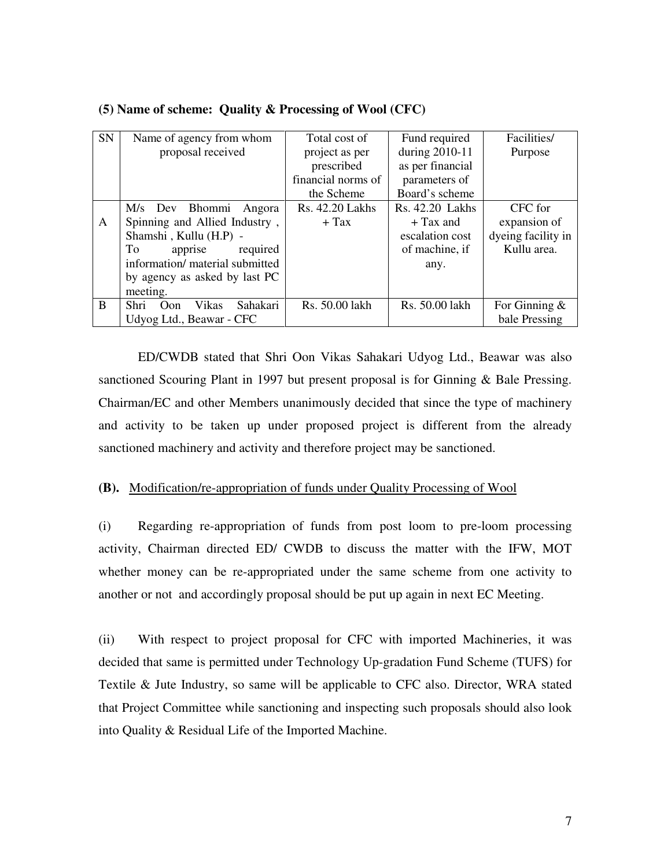| SN | Name of agency from whom         | Total cost of      | Fund required    | Facilities/        |
|----|----------------------------------|--------------------|------------------|--------------------|
|    | proposal received                | project as per     | during 2010-11   | Purpose            |
|    |                                  | prescribed         | as per financial |                    |
|    |                                  | financial norms of | parameters of    |                    |
|    |                                  | the Scheme         | Board's scheme   |                    |
|    | M/s Dev Bhommi<br>Angora         | Rs. 42.20 Lakhs    | Rs. 42.20 Lakhs  | CFC for            |
| A  | Spinning and Allied Industry,    | $+$ Tax            | $+$ Tax and      | expansion of       |
|    | Shamshi, Kullu (H.P) -           |                    | escalation cost  | dyeing facility in |
|    | apprise<br>required<br>To        |                    | of machine, if   | Kullu area.        |
|    | information/ material submitted  |                    | any.             |                    |
|    | by agency as asked by last PC    |                    |                  |                    |
|    | meeting.                         |                    |                  |                    |
| B  | Sahakari<br>Vikas<br>Shri<br>Oon | Rs. 50.00 lakh     | Rs. 50.00 lakh   | For Ginning $\&$   |
|    | Udyog Ltd., Beawar - CFC         |                    |                  | bale Pressing      |

#### **(5) Name of scheme: Quality & Processing of Wool (CFC)**

ED/CWDB stated that Shri Oon Vikas Sahakari Udyog Ltd., Beawar was also sanctioned Scouring Plant in 1997 but present proposal is for Ginning & Bale Pressing. Chairman/EC and other Members unanimously decided that since the type of machinery and activity to be taken up under proposed project is different from the already sanctioned machinery and activity and therefore project may be sanctioned.

#### **(B).** Modification/re-appropriation of funds under Quality Processing of Wool

(i) Regarding re-appropriation of funds from post loom to pre-loom processing activity, Chairman directed ED/ CWDB to discuss the matter with the IFW, MOT whether money can be re-appropriated under the same scheme from one activity to another or not and accordingly proposal should be put up again in next EC Meeting.

(ii) With respect to project proposal for CFC with imported Machineries, it was decided that same is permitted under Technology Up-gradation Fund Scheme (TUFS) for Textile & Jute Industry, so same will be applicable to CFC also. Director, WRA stated that Project Committee while sanctioning and inspecting such proposals should also look into Quality & Residual Life of the Imported Machine.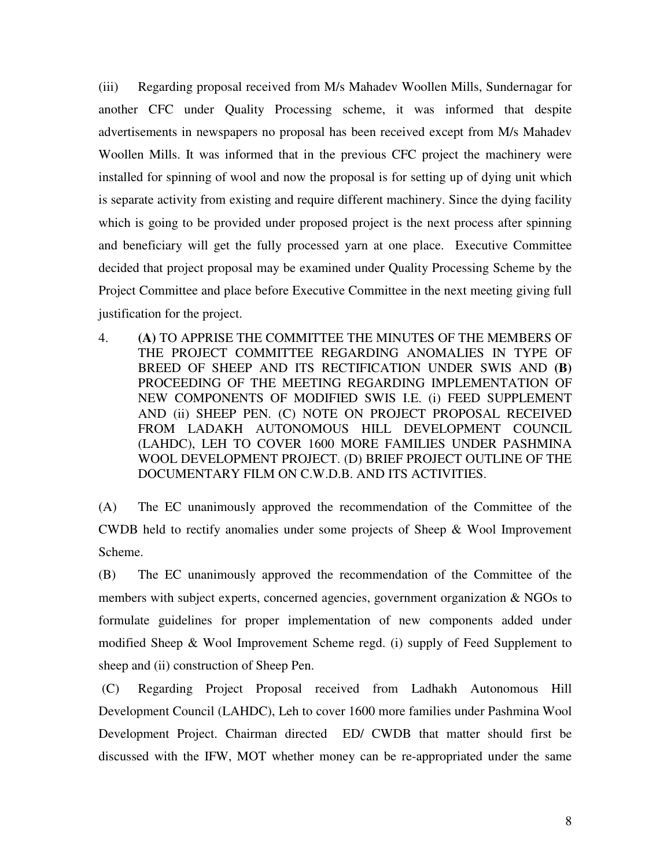(iii) Regarding proposal received from M/s Mahadev Woollen Mills, Sundernagar for another CFC under Quality Processing scheme, it was informed that despite advertisements in newspapers no proposal has been received except from M/s Mahadev Woollen Mills. It was informed that in the previous CFC project the machinery were installed for spinning of wool and now the proposal is for setting up of dying unit which is separate activity from existing and require different machinery. Since the dying facility which is going to be provided under proposed project is the next process after spinning and beneficiary will get the fully processed yarn at one place. Executive Committee decided that project proposal may be examined under Quality Processing Scheme by the Project Committee and place before Executive Committee in the next meeting giving full justification for the project.

4. **(A)** TO APPRISE THE COMMITTEE THE MINUTES OF THE MEMBERS OF THE PROJECT COMMITTEE REGARDING ANOMALIES IN TYPE OF BREED OF SHEEP AND ITS RECTIFICATION UNDER SWIS AND **(B)** PROCEEDING OF THE MEETING REGARDING IMPLEMENTATION OF NEW COMPONENTS OF MODIFIED SWIS I.E. (i) FEED SUPPLEMENT AND (ii) SHEEP PEN. (C) NOTE ON PROJECT PROPOSAL RECEIVED FROM LADAKH AUTONOMOUS HILL DEVELOPMENT COUNCIL (LAHDC), LEH TO COVER 1600 MORE FAMILIES UNDER PASHMINA WOOL DEVELOPMENT PROJECT. (D) BRIEF PROJECT OUTLINE OF THE DOCUMENTARY FILM ON C.W.D.B. AND ITS ACTIVITIES.

(A) The EC unanimously approved the recommendation of the Committee of the CWDB held to rectify anomalies under some projects of Sheep & Wool Improvement Scheme.

(B)The EC unanimously approved the recommendation of the Committee of the members with subject experts, concerned agencies, government organization & NGOs to formulate guidelines for proper implementation of new components added under modified Sheep & Wool Improvement Scheme regd. (i) supply of Feed Supplement to sheep and (ii) construction of Sheep Pen.

 (C) Regarding Project Proposal received from Ladhakh Autonomous Hill Development Council (LAHDC), Leh to cover 1600 more families under Pashmina Wool Development Project. Chairman directed ED/ CWDB that matter should first be discussed with the IFW, MOT whether money can be re-appropriated under the same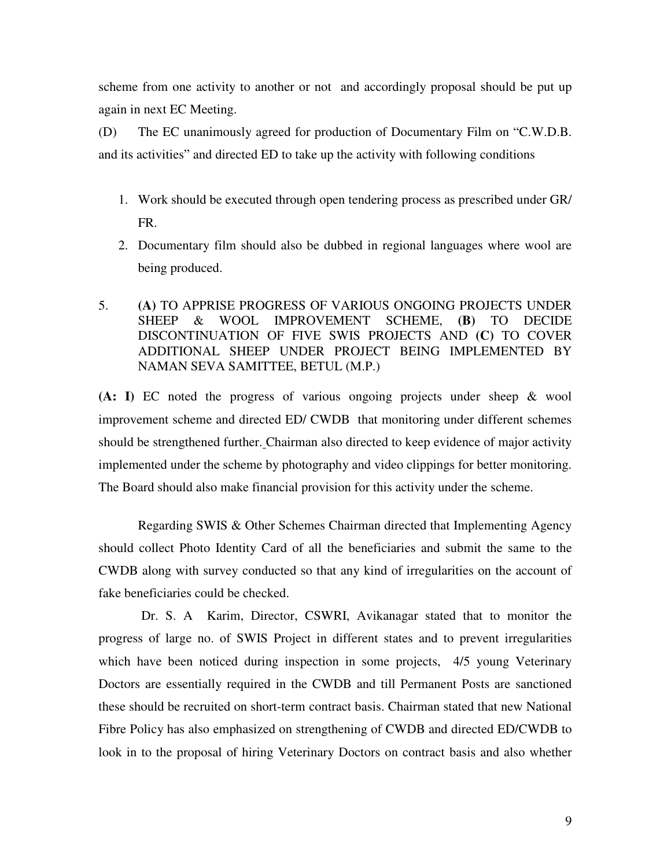scheme from one activity to another or not and accordingly proposal should be put up again in next EC Meeting.

(D) The EC unanimously agreed for production of Documentary Film on "C.W.D.B. and its activities" and directed ED to take up the activity with following conditions

- 1. Work should be executed through open tendering process as prescribed under GR/ FR.
- 2. Documentary film should also be dubbed in regional languages where wool are being produced.
- 5. **(A)** TO APPRISE PROGRESS OF VARIOUS ONGOING PROJECTS UNDER SHEEP & WOOL IMPROVEMENT SCHEME, **(B)** TO DECIDE DISCONTINUATION OF FIVE SWIS PROJECTS AND **(C)** TO COVER ADDITIONAL SHEEP UNDER PROJECT BEING IMPLEMENTED BY NAMAN SEVA SAMITTEE, BETUL (M.P.)

**(A: I)** EC noted the progress of various ongoing projects under sheep & wool improvement scheme and directed ED/ CWDB that monitoring under different schemes should be strengthened further. Chairman also directed to keep evidence of major activity implemented under the scheme by photography and video clippings for better monitoring. The Board should also make financial provision for this activity under the scheme.

Regarding SWIS & Other Schemes Chairman directed that Implementing Agency should collect Photo Identity Card of all the beneficiaries and submit the same to the CWDB along with survey conducted so that any kind of irregularities on the account of fake beneficiaries could be checked.

 Dr. S. A Karim, Director, CSWRI, Avikanagar stated that to monitor the progress of large no. of SWIS Project in different states and to prevent irregularities which have been noticed during inspection in some projects, 4/5 young Veterinary Doctors are essentially required in the CWDB and till Permanent Posts are sanctioned these should be recruited on short-term contract basis. Chairman stated that new National Fibre Policy has also emphasized on strengthening of CWDB and directed ED/CWDB to look in to the proposal of hiring Veterinary Doctors on contract basis and also whether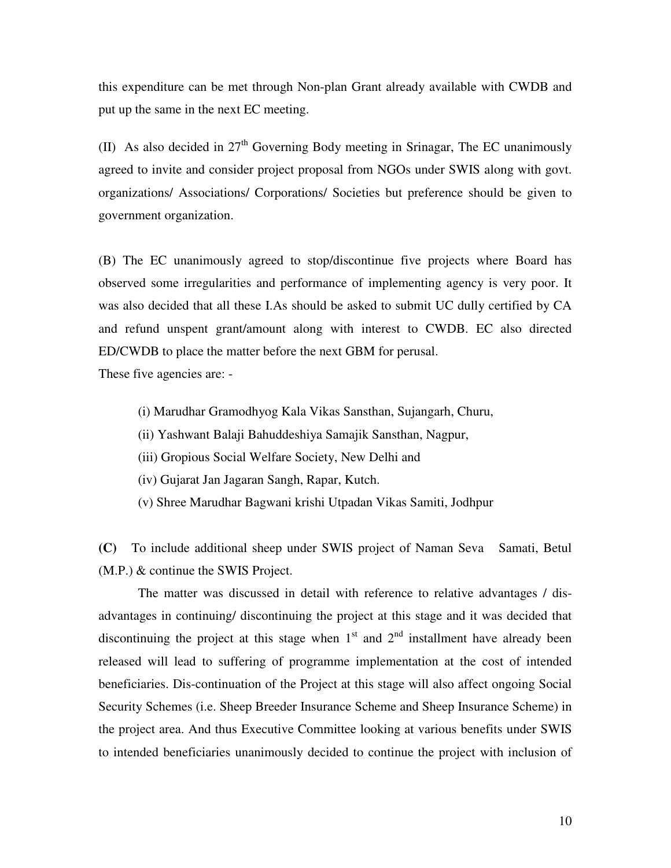this expenditure can be met through Non-plan Grant already available with CWDB and put up the same in the next EC meeting.

(II) As also decided in  $27<sup>th</sup>$  Governing Body meeting in Srinagar, The EC unanimously agreed to invite and consider project proposal from NGOs under SWIS along with govt. organizations/ Associations/ Corporations/ Societies but preference should be given to government organization.

(B) The EC unanimously agreed to stop/discontinue five projects where Board has observed some irregularities and performance of implementing agency is very poor. It was also decided that all these I.As should be asked to submit UC dully certified by CA and refund unspent grant/amount along with interest to CWDB. EC also directed ED/CWDB to place the matter before the next GBM for perusal.

These five agencies are: -

- (i) Marudhar Gramodhyog Kala Vikas Sansthan, Sujangarh, Churu,
- (ii) Yashwant Balaji Bahuddeshiya Samajik Sansthan, Nagpur,
- (iii) Gropious Social Welfare Society, New Delhi and
- (iv) Gujarat Jan Jagaran Sangh, Rapar, Kutch.
- (v) Shree Marudhar Bagwani krishi Utpadan Vikas Samiti, Jodhpur

**(C)** To include additional sheep under SWIS project of Naman Seva Samati, Betul (M.P.) & continue the SWIS Project.

The matter was discussed in detail with reference to relative advantages / disadvantages in continuing/ discontinuing the project at this stage and it was decided that discontinuing the project at this stage when  $1<sup>st</sup>$  and  $2<sup>nd</sup>$  installment have already been released will lead to suffering of programme implementation at the cost of intended beneficiaries. Dis-continuation of the Project at this stage will also affect ongoing Social Security Schemes (i.e. Sheep Breeder Insurance Scheme and Sheep Insurance Scheme) in the project area. And thus Executive Committee looking at various benefits under SWIS to intended beneficiaries unanimously decided to continue the project with inclusion of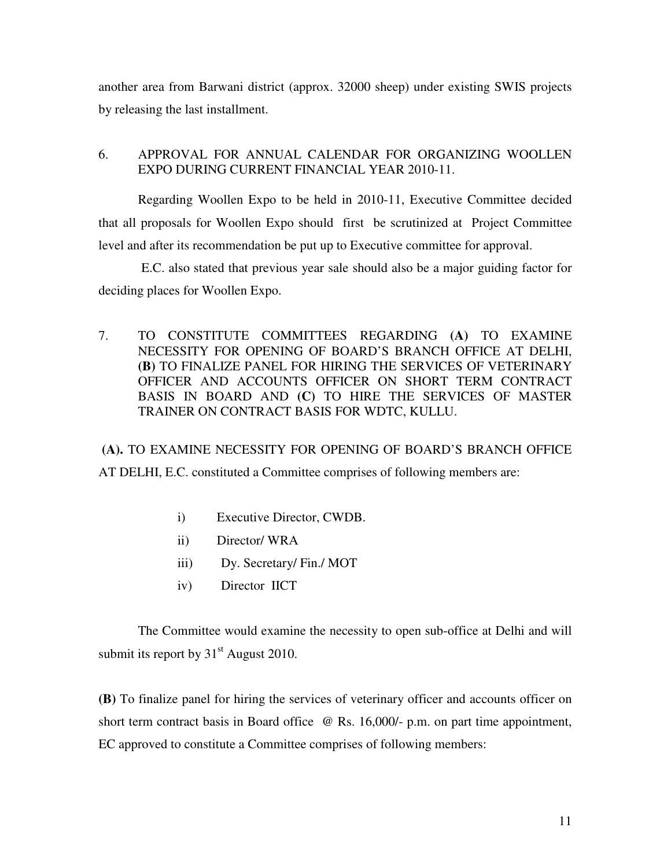another area from Barwani district (approx. 32000 sheep) under existing SWIS projects by releasing the last installment.

#### 6. APPROVAL FOR ANNUAL CALENDAR FOR ORGANIZING WOOLLEN EXPO DURING CURRENT FINANCIAL YEAR 2010-11.

Regarding Woollen Expo to be held in 2010-11, Executive Committee decided that all proposals for Woollen Expo should first be scrutinized at Project Committee level and after its recommendation be put up to Executive committee for approval.

 E.C. also stated that previous year sale should also be a major guiding factor for deciding places for Woollen Expo.

7. TO CONSTITUTE COMMITTEES REGARDING **(A)** TO EXAMINE NECESSITY FOR OPENING OF BOARD'S BRANCH OFFICE AT DELHI, **(B)** TO FINALIZE PANEL FOR HIRING THE SERVICES OF VETERINARY OFFICER AND ACCOUNTS OFFICER ON SHORT TERM CONTRACT BASIS IN BOARD AND **(C)** TO HIRE THE SERVICES OF MASTER TRAINER ON CONTRACT BASIS FOR WDTC, KULLU.

**(A).** TO EXAMINE NECESSITY FOR OPENING OF BOARD'S BRANCH OFFICE AT DELHI, E.C. constituted a Committee comprises of following members are:

- i) Executive Director, CWDB.
- ii) Director/ WRA
- iii) Dy. Secretary/ Fin./ MOT
- iv) Director IICT

 The Committee would examine the necessity to open sub-office at Delhi and will submit its report by  $31<sup>st</sup>$  August 2010.

**(B)** To finalize panel for hiring the services of veterinary officer and accounts officer on short term contract basis in Board office  $\omega$  Rs. 16,000/- p.m. on part time appointment, EC approved to constitute a Committee comprises of following members: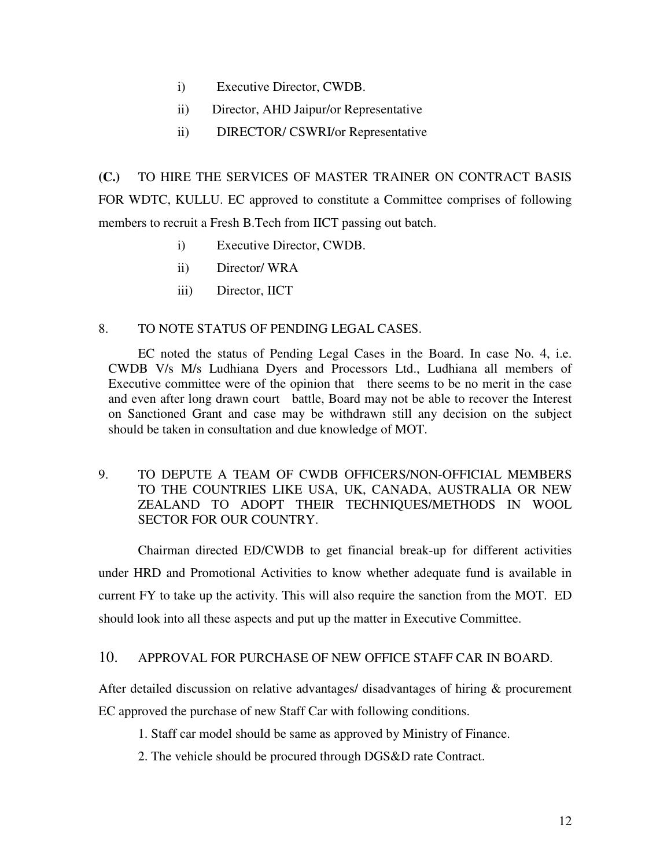- i) Executive Director, CWDB.
- ii) Director, AHD Jaipur/or Representative
- ii) DIRECTOR/ CSWRI/or Representative

**(C.)** TO HIRE THE SERVICES OF MASTER TRAINER ON CONTRACT BASIS FOR WDTC, KULLU. EC approved to constitute a Committee comprises of following members to recruit a Fresh B.Tech from IICT passing out batch.

- i) Executive Director, CWDB.
- ii) Director/ WRA
- iii) Director, IICT

## 8. TO NOTE STATUS OF PENDING LEGAL CASES.

 EC noted the status of Pending Legal Cases in the Board. In case No. 4, i.e. CWDB V/s M/s Ludhiana Dyers and Processors Ltd., Ludhiana all members of Executive committee were of the opinion that there seems to be no merit in the case and even after long drawn court battle, Board may not be able to recover the Interest on Sanctioned Grant and case may be withdrawn still any decision on the subject should be taken in consultation and due knowledge of MOT.

### 9. TO DEPUTE A TEAM OF CWDB OFFICERS/NON-OFFICIAL MEMBERS TO THE COUNTRIES LIKE USA, UK, CANADA, AUSTRALIA OR NEW ZEALAND TO ADOPT THEIR TECHNIQUES/METHODS IN WOOL SECTOR FOR OUR COUNTRY.

Chairman directed ED/CWDB to get financial break-up for different activities under HRD and Promotional Activities to know whether adequate fund is available in current FY to take up the activity. This will also require the sanction from the MOT. ED should look into all these aspects and put up the matter in Executive Committee.

#### 10. APPROVAL FOR PURCHASE OF NEW OFFICE STAFF CAR IN BOARD.

After detailed discussion on relative advantages/ disadvantages of hiring & procurement EC approved the purchase of new Staff Car with following conditions.

- 1. Staff car model should be same as approved by Ministry of Finance.
- 2. The vehicle should be procured through DGS&D rate Contract.